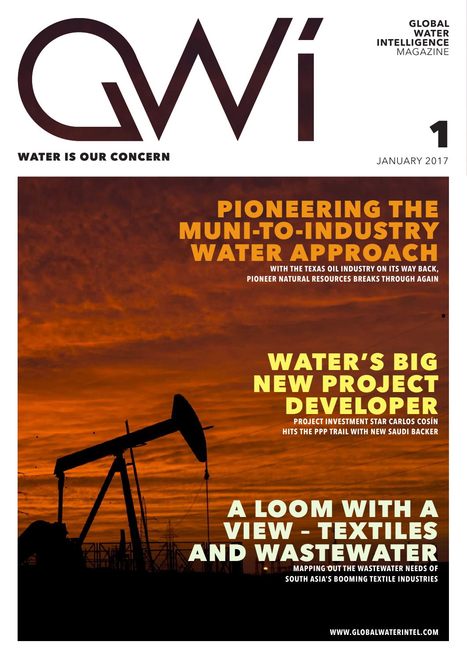

**GLOBAL WATER INTELLIGENCE** MAGAZINE

## WATER IS OUR CONCERN

JANUARY 2017

1

# PIONEERING THE MUNI-TO-INDUSTRY WATER APPROACH

**WITH THE TEXAS OIL INDUSTRY ON ITS WAY BACK, PIONEER NATURAL RESOURCES BREAKS THROUGH AGAIN**

# WATER'S BIG NEW PROJECT DEVELOPER

**PROJECT INVESTMENT STAR CARLOS COSÍN HITS THE PPP TRAIL WITH NEW SAUDI BACKER**

# A LOOM WITH A EW – TEX AND WA **MAPPING OUT THE WASTEWATER NEEDS OF**

**SOUTH ASIA'S BOOMING TEXTILE INDUSTRIES**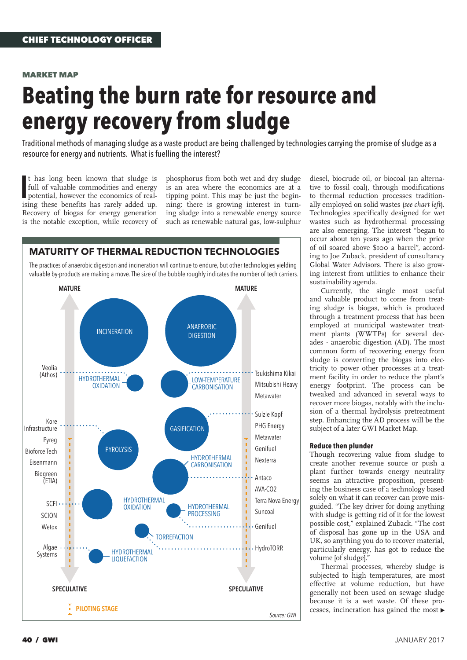#### MARKET MAP

# **Beating the burn rate for resource and energy recovery from sludge**

Traditional methods of managing sludge as a waste product are being challenged by technologies carrying the promise of sludge as a resource for energy and nutrients. What is fuelling the interest?

It has long been known that sludge is<br>full of valuable commodities and energy<br>potential, however the economics of real-<br>ising these benefits has rarely added up. t has long been known that sludge is full of valuable commodities and energy potential, however the economics of real-Recovery of biogas for energy generation is the notable exception, while recovery of

phosphorus from both wet and dry sludge is an area where the economics are at a tipping point. This may be just the beginning: there is growing interest in turning sludge into a renewable energy source such as renewable natural gas, low-sulphur



diesel, biocrude oil, or biocoal (an alternative to fossil coal), through modifications to thermal reduction processes traditionally employed on solid wastes (*see chart left*). Technologies specifically designed for wet wastes such as hydrothermal processing are also emerging. The interest "began to occur about ten years ago when the price of oil soared above \$100 a barrel", according to Joe Zuback, president of consultancy Global Water Advisors. There is also growing interest from utilities to enhance their sustainability agenda.

Currently, the single most useful and valuable product to come from treating sludge is biogas, which is produced through a treatment process that has been employed at municipal wastewater treatment plants (WWTPs) for several decades - anaerobic digestion (AD). The most common form of recovering energy from sludge is converting the biogas into electricity to power other processes at a treatment facility in order to reduce the plant's energy footprint. The process can be tweaked and advanced in several ways to recover more biogas, notably with the inclusion of a thermal hydrolysis pretreatment step. Enhancing the AD process will be the subject of a later GWI Market Map.

#### **Reduce then plunder**

Though recovering value from sludge to create another revenue source or push a plant further towards energy neutrality seems an attractive proposition, presenting the business case of a technology based solely on what it can recover can prove misguided. "The key driver for doing anything with sludge is getting rid of it for the lowest possible cost," explained Zuback. "The cost of disposal has gone up in the USA and UK, so anything you do to recover material, particularly energy, has got to reduce the volume [of sludge]."

Thermal processes, whereby sludge is subjected to high temperatures, are most effective at volume reduction, but have generally not been used on sewage sludge because it is a wet waste. Of these processes, incineration has gained the most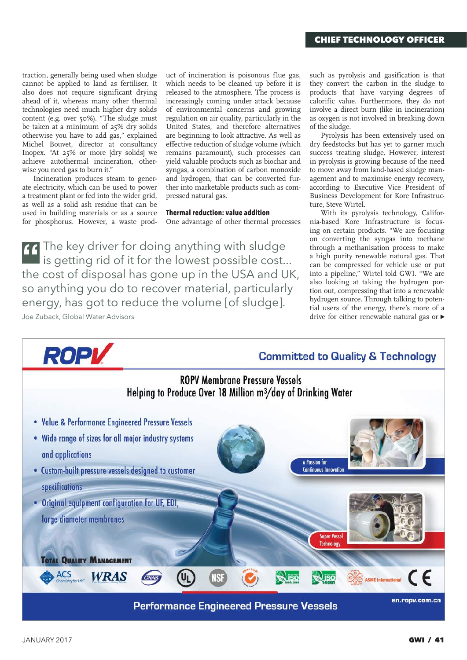traction, generally being used when sludge cannot be applied to land as fertiliser. It also does not require significant drying ahead of it, whereas many other thermal technologies need much higher dry solids content (e.g. over 50%). "The sludge must be taken at a minimum of 25% dry solids otherwise you have to add gas," explained Michel Bouvet, director at consultancy Inopex. "At 25% or more [dry solids] we achieve autothermal incineration, otherwise you need gas to burn it."

Incineration produces steam to generate electricity, which can be used to power a treatment plant or fed into the wider grid, as well as a solid ash residue that can be used in building materials or as a source for phosphorus. However, a waste prod-

uct of incineration is poisonous flue gas, which needs to be cleaned up before it is released to the atmosphere. The process is increasingly coming under attack because of environmental concerns and growing regulation on air quality, particularly in the United States, and therefore alternatives are beginning to look attractive. As well as effective reduction of sludge volume (which remains paramount), such processes can yield valuable products such as biochar and syngas, a combination of carbon monoxide and hydrogen, that can be converted further into marketable products such as compressed natural gas.

### **Thermal reduction: value addition**

One advantage of other thermal processes

The key driver for doing anything with sludge is getting rid of it for the lowest possible cost... the cost of disposal has gone up in the USA and UK, so anything you do to recover material, particularly energy, has got to reduce the volume [of sludge]. Joe Zuback, Global Water Advisors

such as pyrolysis and gasification is that they convert the carbon in the sludge to products that have varying degrees of calorific value. Furthermore, they do not involve a direct burn (like in incineration) as oxygen is not involved in breaking down of the sludge.

Pyrolysis has been extensively used on dry feedstocks but has yet to garner much success treating sludge. However, interest in pyrolysis is growing because of the need to move away from land-based sludge management and to maximise energy recovery, according to Executive Vice President of Business Development for Kore Infrastructure, Steve Wirtel.

With its pyrolysis technology, California-based Kore Infrastructure is focusing on certain products. "We are focusing on converting the syngas into methane through a methanisation process to make a high purity renewable natural gas. That can be compressed for vehicle use or put into a pipeline," Wirtel told GWI. "We are also looking at taking the hydrogen portion out, compressing that into a renewable hydrogen source. Through talking to potential users of the energy, there's more of a drive for either renewable natural gas or

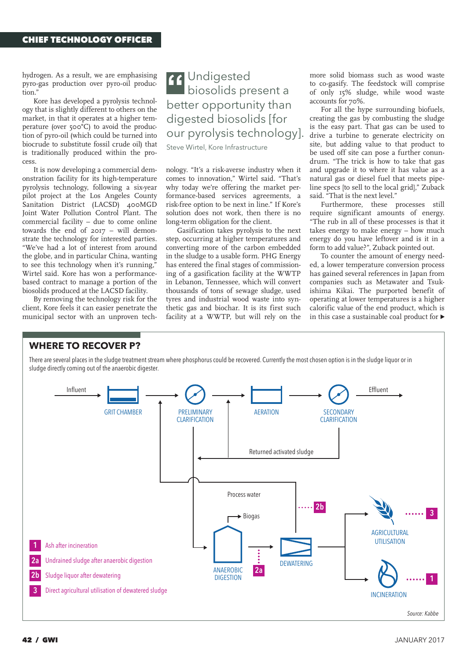hydrogen. As a result, we are emphasising pyro-gas production over pyro-oil production."

Kore has developed a pyrolysis technology that is slightly different to others on the market, in that it operates at a higher temperature (over 500°C) to avoid the production of pyro-oil (which could be turned into biocrude to substitute fossil crude oil) that is traditionally produced within the process.

It is now developing a commercial demonstration facility for its high-temperature pyrolysis technology, following a six-year pilot project at the Los Angeles County Sanitation District (LACSD) 400MGD Joint Water Pollution Control Plant. The commercial facility – due to come online towards the end of 2017 – will demonstrate the technology for interested parties. "We've had a lot of interest from around the globe, and in particular China, wanting to see this technology when it's running," Wirtel said. Kore has won a performancebased contract to manage a portion of the biosolids produced at the LACSD facility.

By removing the technology risk for the client, Kore feels it can easier penetrate the municipal sector with an unproven tech-

# Undigested biosolids present a better opportunity than digested biosolids [for our pyrolysis technology].

Steve Wirtel, Kore Infrastructure

nology. "It's a risk-averse industry when it comes to innovation," Wirtel said. "That's why today we're offering the market performance-based services agreements, a risk-free option to be next in line." If Kore's solution does not work, then there is no long-term obligation for the client.

Gasification takes pyrolysis to the next step, occurring at higher temperatures and converting more of the carbon embedded in the sludge to a usable form. PHG Energy has entered the final stages of commissioning of a gasification facility at the WWTP in Lebanon, Tennessee, which will convert thousands of tons of sewage sludge, used tyres and industrial wood waste into synthetic gas and biochar. It is its first such facility at a WWTP, but will rely on the

more solid biomass such as wood waste to co-gasify. The feedstock will comprise of only 15% sludge, while wood waste accounts for 70%.

For all the hype surrounding biofuels, creating the gas by combusting the sludge is the easy part. That gas can be used to drive a turbine to generate electricity on site, but adding value to that product to be used off site can pose a further conundrum. "The trick is how to take that gas and upgrade it to where it has value as a natural gas or diesel fuel that meets pipeline specs [to sell to the local grid]," Zuback said. "That is the next level."

Furthermore, these processes still require significant amounts of energy. "The rub in all of these processes is that it takes energy to make energy – how much energy do you have leftover and is it in a form to add value?", Zuback pointed out.

To counter the amount of energy needed, a lower temperature conversion process has gained several references in Japan from companies such as Metawater and Tsukishima Kikai. The purported benefit of operating at lower temperatures is a higher calorific value of the end product, which is in this case a sustainable coal product for  $\blacktriangleright$ 

### **WHERE TO RECOVER P?**

There are several places in the sludge treatment stream where phosphorus could be recovered. Currently the most chosen option is in the sludge liquor or in sludge directly coming out of the anaerobic digester.

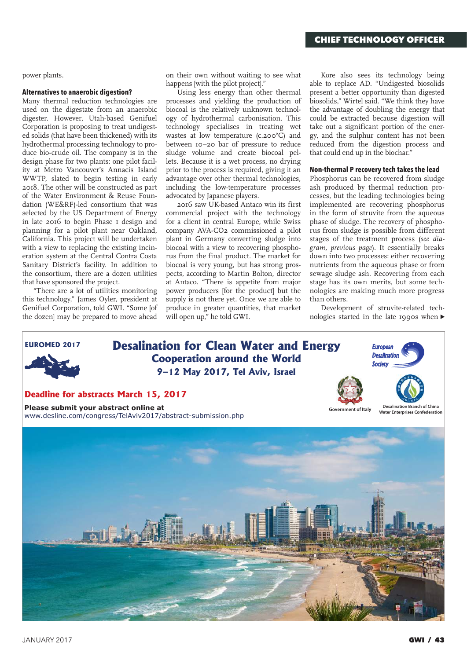power plants.

#### **Alternatives to anaerobic digestion?**

Many thermal reduction technologies are used on the digestate from an anaerobic digester. However, Utah-based Genifuel Corporation is proposing to treat undigested solids (that have been thickened) with its hydrothermal processing technology to produce bio-crude oil. The company is in the design phase for two plants: one pilot facility at Metro Vancouver's Annacis Island WWTP, slated to begin testing in early 2018. The other will be constructed as part of the Water Environment & Reuse Foundation (WE&RF)-led consortium that was selected by the US Department of Energy in late 2016 to begin Phase 1 design and planning for a pilot plant near Oakland, California. This project will be undertaken with a view to replacing the existing incineration system at the Central Contra Costa Sanitary District's facility. In addition to the consortium, there are a dozen utilities that have sponsored the project.

"There are a lot of utilities monitoring this technology," James Oyler, president at Genifuel Corporation, told GWI. "Some [of the dozen] may be prepared to move ahead

on their own without waiting to see what happens [with the pilot project]."

Using less energy than other thermal processes and yielding the production of biocoal is the relatively unknown technology of hydrothermal carbonisation. This technology specialises in treating wet wastes at low temperature (c.200°C) and between 10–20 bar of pressure to reduce sludge volume and create biocoal pellets. Because it is a wet process, no drying prior to the process is required, giving it an advantage over other thermal technologies, including the low-temperature processes advocated by Japanese players.

2016 saw UK-based Antaco win its first commercial project with the technology for a client in central Europe, while Swiss company AVA-CO2 commissioned a pilot plant in Germany converting sludge into biocoal with a view to recovering phosphorus from the final product. The market for biocoal is very young, but has strong prospects, according to Martin Bolton, director at Antaco. "There is appetite from major power producers [for the product] but the supply is not there yet. Once we are able to produce in greater quantities, that market will open up," he told GWI.

Kore also sees its technology being able to replace AD. "Undigested biosolids present a better opportunity than digested biosolids," Wirtel said. "We think they have the advantage of doubling the energy that could be extracted because digestion will take out a significant portion of the energy, and the sulphur content has not been reduced from the digestion process and that could end up in the biochar."

#### **Non-thermal P recovery tech takes the lead**

Phosphorus can be recovered from sludge ash produced by thermal reduction processes, but the leading technologies being implemented are recovering phosphorus in the form of struvite from the aqueous phase of sludge. The recovery of phosphorus from sludge is possible from different stages of the treatment process (*see diagram, previous page*). It essentially breaks down into two processes: either recovering nutrients from the aqueous phase or from sewage sludge ash. Recovering from each stage has its own merits, but some technologies are making much more progress than others.

Development of struvite-related technologies started in the late 1990s when  $\blacktriangleright$ 



**Please submit your abstract online at** www.desline.com/congress/TelAviv2017/abstract-submission.php



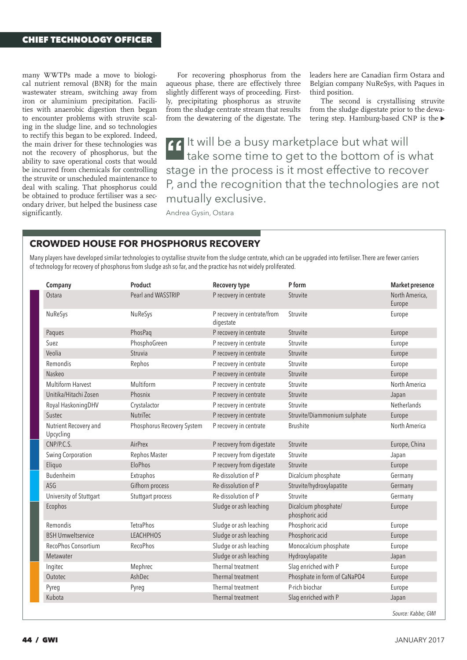many WWTPs made a move to biological nutrient removal (BNR) for the main wastewater stream, switching away from iron or aluminium precipitation. Facilities with anaerobic digestion then began to encounter problems with struvite scaling in the sludge line, and so technologies to rectify this began to be explored. Indeed, the main driver for these technologies was not the recovery of phosphorus, but the ability to save operational costs that would be incurred from chemicals for controlling the struvite or unscheduled maintenance to deal with scaling. That phosphorus could be obtained to produce fertiliser was a secondary driver, but helped the business case significantly.

For recovering phosphorus from the aqueous phase, there are effectively three slightly different ways of proceeding. Firstly, precipitating phosphorus as struvite from the sludge centrate stream that results from the dewatering of the digestate. The leaders here are Canadian firm Ostara and Belgian company NuReSys, with Paques in third position.

The second is crystallising struvite from the sludge digestate prior to the dewatering step. Hamburg-based CNP is the

It will be a busy marketplace but what will take some time to get to the bottom of is what stage in the process is it most effective to recover P, and the recognition that the technologies are not mutually exclusive.

Andrea Gysin, Ostara

### **CROWDED HOUSE FOR PHOSPHORUS RECOVERY**

Many players have developed similar technologies to crystallise struvite from the sludge centrate, which can be upgraded into fertiliser. There are fewer carriers of technology for recovery of phosphorus from sludge ash so far, and the practice has not widely proliferated.

| Company                            | Product                    | <b>Recovery type</b>                     | P form                                  | <b>Market presence</b>   |
|------------------------------------|----------------------------|------------------------------------------|-----------------------------------------|--------------------------|
| Ostara                             | Pearl and WASSTRIP         | P recovery in centrate                   | Struvite                                | North America,<br>Europe |
| NuReSys                            | NuReSys                    | P recovery in centrate/from<br>digestate | Struvite                                | Europe                   |
| Paques                             | PhosPag                    | P recovery in centrate                   | Struvite                                | Europe                   |
| Suez                               | PhosphoGreen               | P recovery in centrate                   | Struvite                                | Europe                   |
| Veolia                             | Struvia                    | P recovery in centrate                   | Struvite                                | Europe                   |
| Remondis                           | Rephos                     | P recovery in centrate                   | Struvite                                | Europe                   |
| Naskeo                             |                            | P recovery in centrate                   | Struvite                                | Europe                   |
| <b>Multiform Harvest</b>           | Multiform                  | P recovery in centrate                   | Struvite                                | North America            |
| Unitika/Hitachi Zosen              | Phosnix                    | P recovery in centrate                   | Struvite                                | Japan                    |
| Royal Haskoning DHV                | Crystalactor               | P recovery in centrate                   | Struvite                                | Netherlands              |
| Sustec                             | NutriTec                   | P recovery in centrate                   | Struvite/Diammonium sulphate            | Europe                   |
| Nutrient Recovery and<br>Upcycling | Phosphorus Recovery System | P recovery in centrate                   | <b>Brushite</b>                         | North America            |
| CNP/P.C.S.                         | AirPrex                    | P recovery from digestate                | Struvite                                | Europe, China            |
| Swing Corporation                  | Rephos Master              | P recovery from digestate                | Struvite                                | Japan                    |
| Eliquo                             | EloPhos                    | P recovery from digestate                | Struvite                                | Europe                   |
| Budenheim                          | Extraphos                  | Re-dissolution of P                      | Dicalcium phosphate                     | Germany                  |
| ASG                                | Gifhorn process            | Re-dissolution of P                      | Struvite/hydroxylapatite                | Germany                  |
| University of Stuttgart            | Stuttgart process          | Re-dissolution of P                      | Struvite                                | Germany                  |
| Ecophos                            |                            | Sludge or ash leaching                   | Dicalcium phosphate/<br>phosphoric acid | Europe                   |
| Remondis                           | <b>TetraPhos</b>           | Sludge or ash leaching                   | Phosphoric acid                         | Europe                   |
| <b>BSH Umweltservice</b>           | <b>LEACHPHOS</b>           | Sludge or ash leaching                   | Phosphoric acid                         | Europe                   |
| RecoPhos Consortium                | <b>RecoPhos</b>            | Sludge or ash leaching                   | Monocalcium phosphate                   | Europe                   |
| Metawater                          |                            | Sludge or ash leaching                   | Hydroxylapatite                         | Japan                    |
| Ingitec                            | Mephrec                    | Thermal treatment                        | Slag enriched with P                    | Europe                   |
| Outotec                            | AshDec                     | Thermal treatment                        | Phosphate in form of CaNaPO4            | Europe                   |
| Pyreg                              | Pyreg                      | Thermal treatment                        | P-rich biochar                          | Europe                   |
| Kubota                             |                            | Thermal treatment                        | Slag enriched with P                    | Japan                    |
|                                    |                            |                                          |                                         | Source: Kabbe: GWI       |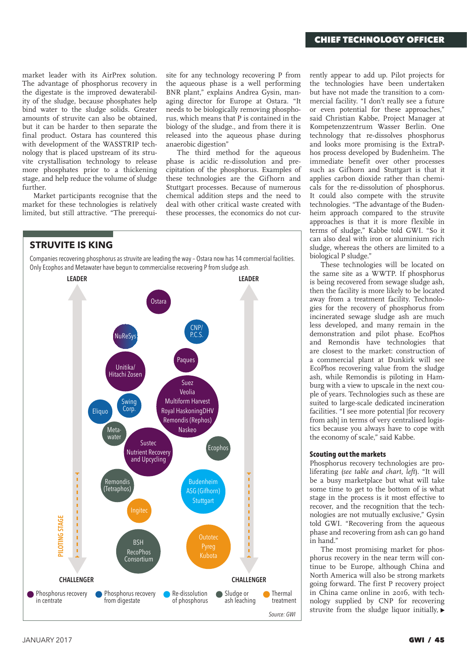market leader with its AirPrex solution. The advantage of phosphorus recovery in the digestate is the improved dewaterability of the sludge, because phosphates help bind water to the sludge solids. Greater amounts of struvite can also be obtained, but it can be harder to then separate the final product. Ostara has countered this with development of the WASSTRIP technology that is placed upstream of its struvite crystallisation technology to release more phosphates prior to a thickening stage, and help reduce the volume of sludge further.

Market participants recognise that the market for these technologies is relatively limited, but still attractive. "The prerequisite for any technology recovering P from the aqueous phase is a well performing BNR plant," explains Andrea Gysin, managing director for Europe at Ostara. "It needs to be biologically removing phosphorus, which means that P is contained in the biology of the sludge., and from there it is released into the aqueous phase during anaerobic digestion"

The third method for the aqueous phase is acidic re-dissolution and precipitation of the phosphorus. Examples of these technologies are the Gifhorn and Stuttgart processes. Because of numerous chemical addition steps and the need to deal with other critical waste created with these processes, the economics do not cur-



rently appear to add up. Pilot projects for the technologies have been undertaken but have not made the transition to a commercial facility. "I don't really see a future or even potential for these approaches," said Christian Kabbe, Project Manager at Kompetenzzentrum Wasser Berlin. One technology that re-dissolves phosphorus and looks more promising is the ExtraPhos process developed by Budenheim. The immediate benefit over other processes such as Gifhorn and Stuttgart is that it applies carbon dioxide rather than chemicals for the re-dissolution of phosphorus. It could also compete with the struvite technologies. "The advantage of the Budenheim approach compared to the struvite approaches is that it is more flexible in terms of sludge," Kabbe told GWI. "So it can also deal with iron or aluminium rich sludge, whereas the others are limited to a biological P sludge."

These technologies will be located on the same site as a WWTP. If phosphorus is being recovered from sewage sludge ash, then the facility is more likely to be located away from a treatment facility. Technologies for the recovery of phosphorus from incinerated sewage sludge ash are much less developed, and many remain in the demonstration and pilot phase. EcoPhos and Remondis have technologies that are closest to the market: construction of a commercial plant at Dunkirk will see EcoPhos recovering value from the sludge ash, while Remondis is piloting in Hamburg with a view to upscale in the next couple of years. Technologies such as these are suited to large-scale dedicated incineration facilities. "I see more potential [for recovery from ash) in terms of very centralised logistics because you always have to cope with the economy of scale," said Kabbe.

#### **Scouting out the markets**

Phosphorus recovery technologies are proliferating (*see table and chart, left*). "It will be a busy marketplace but what will take some time to get to the bottom of is what stage in the process is it most effective to recover, and the recognition that the technologies are not mutually exclusive," Gysin told GWI. "Recovering from the aqueous phase and recovering from ash can go hand in hand."

The most promising market for phosphorus recovery in the near term will continue to be Europe, although China and North America will also be strong markets going forward. The first P recovery project in China came online in 2016, with technology supplied by CNP for recovering struvite from the sludge liquor initially,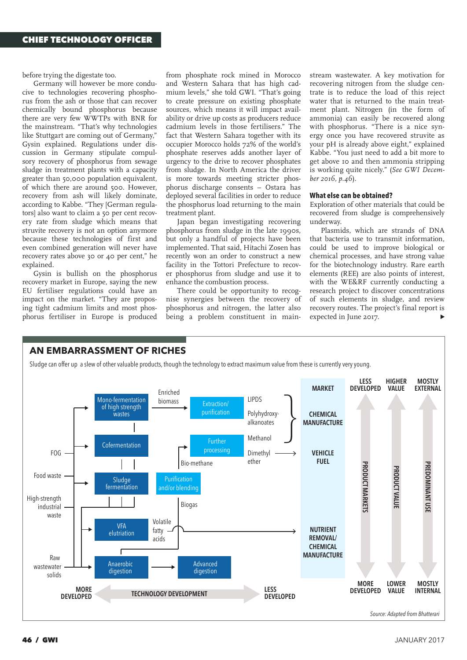before trying the digestate too.

Germany will however be more conducive to technologies recovering phosphorus from the ash or those that can recover chemically bound phosphorus because there are very few WWTPs with BNR for the mainstream. "That's why technologies like Stuttgart are coming out of Germany," Gysin explained. Regulations under discussion in Germany stipulate compulsory recovery of phosphorus from sewage sludge in treatment plants with a capacity greater than 50,000 population equivalent, of which there are around 500. However, recovery from ash will likely dominate, according to Kabbe. "They [German regulators] also want to claim a 50 per cent recovery rate from sludge which means that struvite recovery is not an option anymore because these technologies of first and even combined generation will never have recovery rates above 30 or 40 per cent," he explained.

Gysin is bullish on the phosphorus recovery market in Europe, saying the new EU fertiliser regulations could have an impact on the market. "They are proposing tight cadmium limits and most phosphorus fertiliser in Europe is produced from phosphate rock mined in Morocco and Western Sahara that has high cadmium levels," she told GWI. "That's going to create pressure on existing phosphate sources, which means it will impact availability or drive up costs as producers reduce cadmium levels in those fertilisers." The fact that Western Sahara together with its occupier Morocco holds 72% of the world's phosphate reserves adds another layer of urgency to the drive to recover phosphates from sludge. In North America the driver is more towards meeting stricter phosphorus discharge consents – Ostara has deployed several facilities in order to reduce the phosphorus load returning to the main treatment plant.

Japan began investigating recovering phosphorus from sludge in the late 1990s, but only a handful of projects have been implemented. That said, Hitachi Zosen has recently won an order to construct a new facility in the Tottori Prefecture to recover phosphorus from sludge and use it to enhance the combustion process.

There could be opportunity to recognise synergies between the recovery of phosphorus and nitrogen, the latter also being a problem constituent in mainstream wastewater. A key motivation for recovering nitrogen from the sludge centrate is to reduce the load of this reject water that is returned to the main treatment plant. Nitrogen (in the form of ammonia) can easily be recovered along with phosphorus. "There is a nice synergy once you have recovered struvite as your pH is already above eight," explained Kabbe. "You just need to add a bit more to get above 10 and then ammonia stripping is working quite nicely." (*See GWI December 2016, p.46*).

#### **What else can be obtained?**

Exploration of other materials that could be recovered from sludge is comprehensively underway.

Plasmids, which are strands of DNA that bacteria use to transmit information, could be used to improve biological or chemical processes, and have strong value for the biotechnology industry. Rare earth elements (REE) are also points of interest, with the WE&RF currently conducting a research project to discover concentrations of such elements in sludge, and review recovery routes. The project's final report is expected in June 2017.